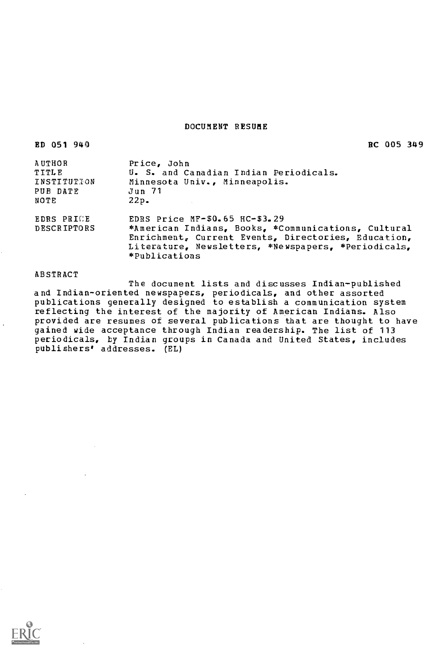# DOCUMENT RESUME

| 051<br>R D | 940 |
|------------|-----|
|------------|-----|

RC 005 349

| Price, John                                                                                                                                                                        |
|------------------------------------------------------------------------------------------------------------------------------------------------------------------------------------|
| U. S. and Canadian Indian Periodicals.                                                                                                                                             |
| Minnesota Univ., Minneapolis.                                                                                                                                                      |
| Jun 71                                                                                                                                                                             |
| $22p$ .                                                                                                                                                                            |
| EDRS Price $MF-50.65$ HC-\$3.29                                                                                                                                                    |
| *American Indians, Books, *Communications, Cultural<br>Enrichment, Current Events, Directories, Education,<br>Literature, Newsletters, *Newspapers, *Periodicals,<br>*Publications |
|                                                                                                                                                                                    |

#### ABSTRACT

The document lists and discusses Indian-published and Indian-oriented newspapers, periodicals, and other assorted publications generally designed to establish a communication system reflecting the interest of the majority of American Indians. Also provided are resumes of several publications that are thought to have gained wide acceptance through Indian readership. The list of 113 periodicals, by Indian groups in Canada and United States, includes publishers' addresses. (EL)

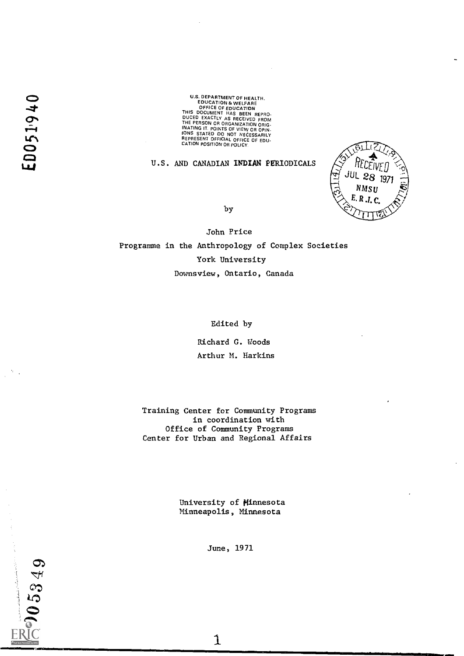U.S. DEPARTMENT OF HEALTH.<br>
COUCATION & WELFARE<br>
OFFICE OF EDUCATION<br>
THIS DOCUMENT HAS BEEN REPRO.<br>
DUCED EXACTLY AS RECEIVED FROM<br>
DUCED EXACTLY AS RECEIVED FROM<br>
THE PERSON OR ORGANIZATION ORIGINATING IT.<br>
POINTS OF VIE

# U.S. AND CANADIAN INDIAN PERIODICALS



by

John Price Programme in the Anthropology of Complex Societies York University Downsview, Ontario, Canada

Edited by

Richard G. Woods Arthur M. Harkins

Training Center for Community Programs in coordination with Office of Community Programs Center for Urban and Regional Affairs

> University of Minnesota Minneapolis, Minnesota

> > June, 1971

 $\mathbf{1}$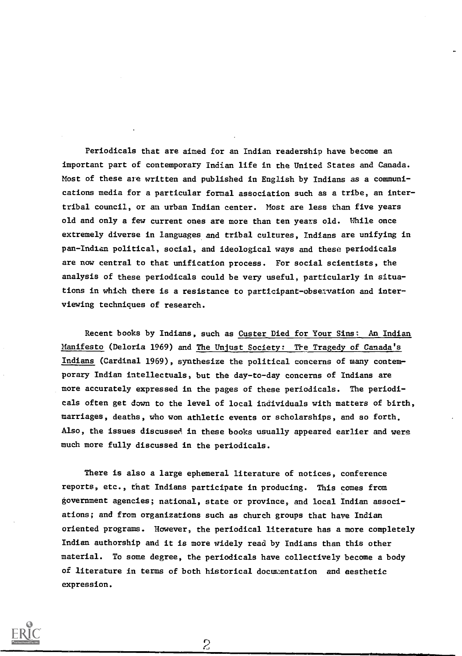Periodicals that are aimed for an Indian readership have become an important part of contemporary Indian life in the United States and Canada. Most of these are written and published in English by Indians as a communications media for a particular formal association such as a tribe, an intertribal council, or an urban Indian center. Most are less than five years old and only a few current ones are more than ten years old. While once extremely diverse in languages and tribal cultures, Indians are unifying in pan-Indian political, social, and ideological ways and these periodicals are now central to that unification process. For social scientists, the analysis of these periodicals could be very useful, particularly in situations in which there is a resistance to participant-observation and interviewing techniques of research.

Recent books by Indians, such as Custer Died for Your Sins: An Indian Manifesto (Deloria 1969) and The Unjust Society: The Tragedy of Canada's Indians (Cardinal 1969), synthesize the political concerns of many contemporary Indian intellectuals, but the day-to-day concerns of Indians are more accurately expressed in the pages of these periodicals. The periodicals often get down to the level of local individuals with matters of birth, marriages, deaths, who won athletic events or scholarships, and so forth. Also, the issues discussed, in these books usually appeared earlier and were much more fully discussed in the periodicals.

There is also a large ephemeral literature of notices, conference reports, etc., that Indians participate in producing. This comes from government agencies; national, state or province, and local Indian associations; and from organizations such as church groups that have Indian oriented programs. However, the periodical literature has a more completely Indian authorship and it is more widely read by Indians than this other material. To some degree, the periodicals have collectively become a body of literature in terms of both historical docurzentation and aesthetic expression.

 $\overline{c}$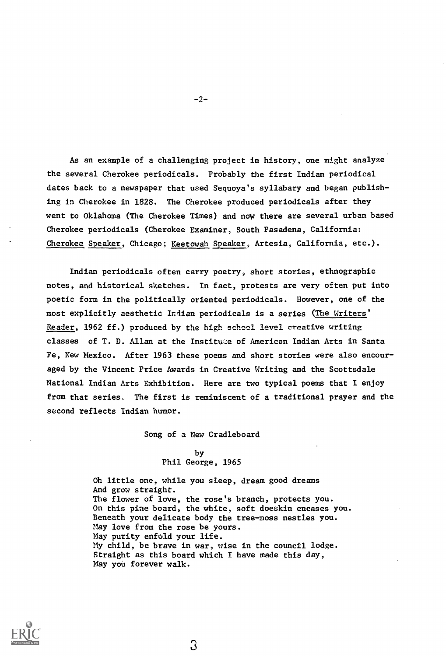As an example of a challenging project in history, one might analyze the several Cherokee periodicals. Probably the first Indian periodical dates back to a newspaper that used Sequoya's syllabary and began publishing in Cherokee in 1828. The Cherokee produced periodicals after they went to Oklahoma (The Cherokee Times) and now there are several urban based Cherokee periodicals (Cherokee Examiner, South Pasadena, California: Cherokee Speaker, Chicago; Keetowah Speaker, Artesia, California, etc.).

Indian periodicals often carry poetry, short stories, ethnographic notes, and historical sketches. In fact, protests are very often put into poetic form in the politically oriented periodicals. However, one of the most explicitly aesthetic Indian periodicals is a series (The Writers' Reader, 1962 ff.) produced by the high school level creative writing classes of T. D. Allan at the Institute of American Indian Arts in Santa Fe, New Mexico. After 1963 these poems and short stories were also encouraged by the Vincent Price Awards in Creative Writing and the Scottsdale National Indian Arts Exhibition. Here are two typical poems that I enjoy from that series. The first is reminiscent of a traditional prayer and the second reflects Indian humor.

Song of a New Cradleboard

by Phil George, 1965

Oh little one, while you sleep, dream good dreams And grow straight. The flower of love, the rose's branch, protects you. On this pine board, the white, soft doeskin encases you. Beneath your delicate body the tree-moss nestles you. May love from the rose be yours. May purity enfold your life. My child, be brave in war, wise in the council lodge. Straight as this board which I have made this day, May you forever walk.



-2-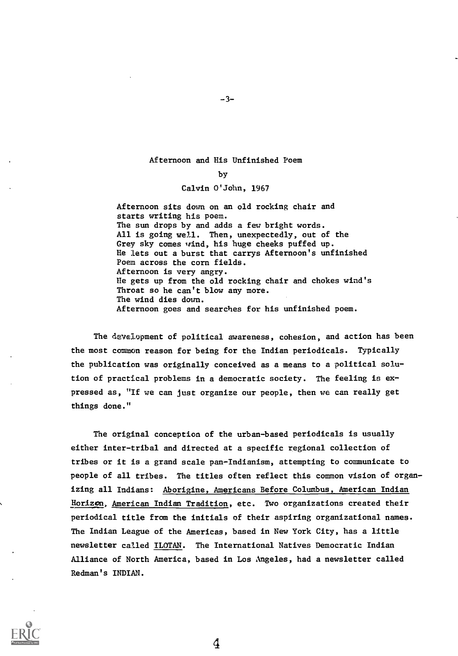### Afternoon and His Unfinished Poem

### by

### Calvin O'John, 1967

Afternoon sits down on an old rocking chair and starts writing his poem. The sun drops by and adds a few bright words. All is going well. Then, unexpectedly, out of the Grey sky comes wind, his huge cheeks puffed up. He lets out a burst that carrys Afternoon's unfinished Poem across the corn fields. Afternoon is very angry. He gets up from the old rocking chair and chokes wind's Throat so he can't blow any more. The wind dies down. Afternoon goes and searches for his unfinished poem.

The development of political awareness, cohesion, and action has been the most common reason for being for the Indian periodicals. Typically the publication was originally conceived as a means to a political solution of practical problems in a democratic society. The feeling is expressed as, "If we can just organize our people, then we can really get things done."

The original conception of the urban-based periodicals is usually either inter-tribal and directed at a specific regional collection of tribes or it is a grand scale pan-Indianism, attempting to communicate to people of all tribes. The titles often reflect this common vision of organizing all Indians: Aborigine, Americans Before Columbus, American Indian Horizon, American Indian Tradition, etc. Two organizations created their periodical title from the initials of their aspiring organizational names. The Indian League of the Americas, based in New York City, has a little newsletter called ILOTAN. The International Natives Democratic Indian Alliance of North America, based in Los Angeles, had a newsletter called Redman's INDIAN.



 $-3-$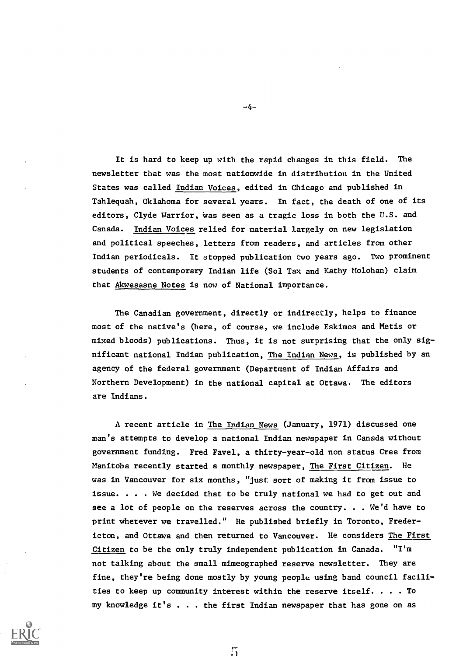It is hard to keep up with the rapid changes in this field. The newsletter that was the most nationwide in distribution in the United States was called Indian Voices, edited in Chicago and published in Tahlequah, Oklahoma for several years. In fact, the death of one of its editors, Clyde Warrior, was seen as a tragic loss in both the U.S. and Canada. Indian Voices relied for material largely on new legislation and political speeches, letters from readers, and articles from other Indian periodicals. It stopped publication two years ago. Two prominent students of contemporary Indian life (Sol Tax and Kathy Molohan) claim that Akwesasne Notes is now of National importance.

The Canadian government, directly or indirectly, helps to finance most of the native's (here, of course, we include Eskimos and Metis or mixed bloods) publications. Thus, it is not surprising that the only significant national Indian publication, The Indian News, is published by an agency of the federal government (Department of Indian Affairs and Northern Development) in the national capital at Ottawa. The editors are Indians.

A recent article in The Indian News (January, 1971) discussed one man's attempts to develop a national Indian newspaper in Canada without government funding. Fred Favel, a thirty-year-old non status Cree from Manitoba recently started a monthly newspaper, The First Citizen. He was in Vancouver for six months, "just sort of making it from issue to issue. . . . We decided that to be truly national we had to get out and see a lot of people on the reserves across the country. . . We'd have to print wherever we travelled." He published briefly in Toronto, Fredericton, and Ottawa and then returned to Vancouver. He considers The First Citizen to be the only truly independent publication in Canada. "I'm not talking about the small mimeographed reserve newsletter. They are fine, they're being done mostly by young people using band council facilities to keep up community interest within the reserve itself.  $\dots$  . To my knowledge it's . . . the first Indian newspaper that has gone on as



-4-

 $5\overline{5}$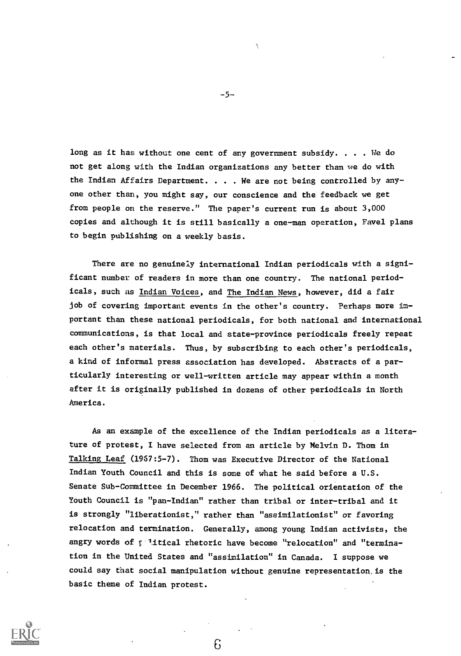long as it has without one cent of any government subsidy. . . . We do not get along with the Indian organizations any better than we do with the Indian Affairs Department. . . . We are not being controlled by anyone other than, you might say, our conscience and the feedback we get from people on the reserve." The paper's current run is about 3,000 copies and although it is still basically a one-man operation, Favel plans to begin publishing on a weekly basis.

There are no genuinely international Indian periodicals with a significant number of readers in more than one country. The national periodicals, such as Indian Voices, and The Indian News, however, did a fair job of covering important events in the other's country. Perhaps more important than these national periodicals, for both national and international communications, is that local and state-province periodicals freely repeat each other's materials. Thus, by subscribing to each other's periodicals, a kind of informal press association has developed. Abstracts of a particularly interesting or well-written article may appear within a month after it is originally published in dozens of other periodicals in North America.

As an example of the excellence of the Indian periodicals as a literature of protest, I have selected from an article by Melvin D. Thom in Talking Leaf (1967:5-7). Thom was Executive Director of the National Indian Youth Council and this is some of what he said before a U.S. Senate Sub-Committee in December 1966. The political orientation of the Youth Council is "pan-Indian" rather than tribal or inter-tribal and it is strongly "liberationist," rather than "assimilationist" or favoring relocation and termination. Generally, among young Indian activists, the angry words of  $f$  litical rhetoric have become "relocation" and "termination in the United States and "assimilation" in Canada. I suppose we could say that social manipulation without genuine representation is the basic theme of Indian protest.

6



-5-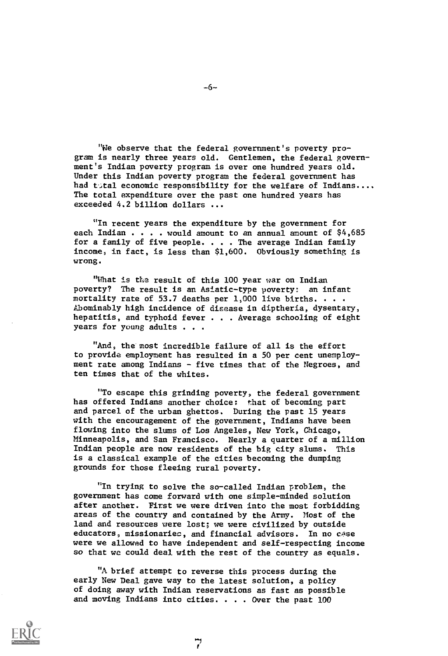"We observe that the federal government's poverty program is nearly three years old. Gentlemen, the federal government's Indian poverty program is over one hundred years old. Under this Indian poverty program the federal government has had tatal economic responsibility for the welfare of Indians.... The total expenditure over the past one hundred years has exceeded 4.2 billion dollars ...

"In recent years the expenditure by the government for each Indian  $\ldots$  . would amount to an annual amount of  $$4,685$ for a family of five people. . . . The average Indian family income, in fact, is less than \$1,600. Obviously something is wrong.

"What is the result of this 100 year war on Indian poverty? The result is an Asiatic-type poverty: an infant mortality rate of 53.7 deaths per  $1,000$  live births. . . . Abominably high incidence of disease in diptheria, dysentery, hepatitis, and typhoid fever . . . Average schooling of eight years for young adults . . .

"And, the most incredible failure of all is the effort to provide employment has resulted in a 50 per cent unemployment rate among Indians - five times that of the Negroes, and ten times that of the whites.

"To escape this grinding poverty, the federal government has offered Indians another choice: that of becoming part and parcel of the urban ghettos. During the past 15 years with the encouragement of the government, Indians have been flowing into the slums of Los Angeles, New York, Chicago, Minneapolis, and San Francisco. Nearly a quarter of a million Indian people are now residents of the big city slums. This is a classical example of the cities becoming the dumping grounds for those fleeing rural poverty.

"In trying to solve the so-called Indian problem, the government has come forward with one simple-minded solution after another. First we were driven into the most forbidding areas of the country and contained by the Army. Most of the land and resources were lost; we were civilized by outside educators, missionaries, and financial advisors. In no case were we allowed to have independent and self-respecting income so that we could deal with the rest of the country as equals.

"A brief attempt to reverse this process during the early New Deal gave way to the latest solution, a policy of doing away with Indian reservations as fast as possible and moving Indians into cities. . . . Over the past 100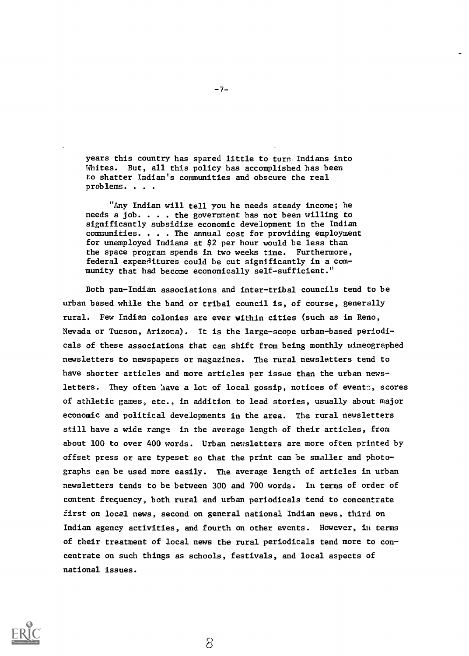years this country has spared little to turn Indians into Whites. But, all this policy has accomplished has been to shatter Indian's communities and obscure the real problems. . . .

"Any Indian will tell you he needs steady income; he needs a job. . . . the government has not been willing to significantly subsidize economic development in the Indian communities. . . . The annual cost for providing employment for unemployed Indians at \$2 per hour would be less than the space program spends in two weeks time. Furthermore, federal expenflitures could be cut significantly in a community that had become economically self-sufficient."

Both pan-Indian associations and inter-tribal councils tend to be urban based while the band or tribal council is, of course, generally rural. Few Indian colonies are ever vithin cities (such as in Reno, Nevada or Tucson, Arizona). It is the large-scope urban-based periodicals of these associations that can shift from being monthly mimeographed newsletters to newspapers or magazines. The rural newsletters tend to have shorter articles and more articles per issue than the urban newsletters. They often have a lot of local gossip, notices of events, scores of athletic games, etc., in addition to lead stories, usually about major economic and political developments in the area. The rural newsletters still have a wide range in the average length of their articles, from about 100 to over 400 words. Urban newsletters are more often printed by offset press or are typeset so that the print can be smaller and photographs can be used more easily. The average length of articles in urban newsletters tends to be between 300 and 700 words. In terms of order of content frequency, both rural and urban periodicals tend to concentrate first on local news, second on general national Indian news, third on Indian agency activities, and fourth on other events. However, in terms of their treatment of local news the rural periodicals tend more to concentrate on such things as schools, festivals, and local aspects of national issues.



 $-7-$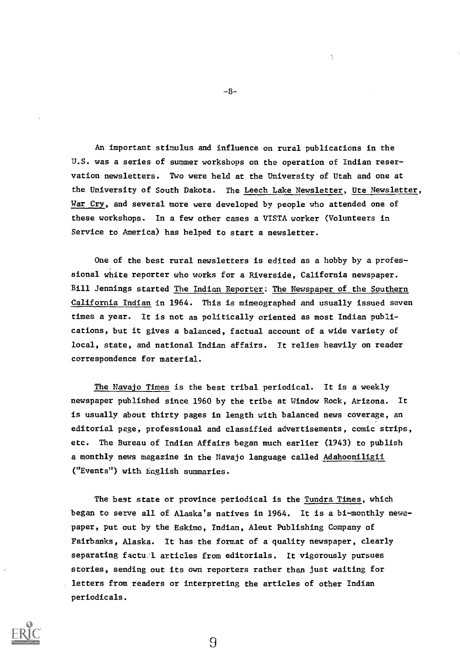An important stimulus and influence on rural publications in the U.S. was a series of summer workshops on the operation of Indian reservation newsletters. Two were held at the University of Utah and one at the University of South Dakota. The Leech Lake Newsletter, Ute Newsletter, War Cry, and several more were developed by people who attended one of these workshops. In a few other cases a VISTA worker (Volunteers in Service to America) has helped to start a newsletter.

One of the best rural newsletters is edited as a hobby by a professional white reporter who works for a Riverside, California newspaper. Bill Jennings started The Indian Reporter: The Newspaper of the Southern California Indian in 1964. This is mimeographed and usually issued seven times a year. It is not as politically oriented as most Indian publications, but it gives a balanced, factual account of a wide variety of local, state, and national Indian affairs. It relies heavily on reader correspondence for material.

The Navajo Times is the best tribal periodical. It is a weekly newspaper published since 1960 by the tribe at Window Rock, Arizona. It is usually about thirty pages in length with balanced news coverage, an editorial page, professional and classified advertisements, comic strips, etc. The Bureau of Indian Affairs began much earlier (1943) to publish a monthly news magazine in the Navajo language called Adahooniligii ("Events") with English summaries.

The best state or province periodical is the Tundra Times, which began to serve all of Alaska's natives in 1964. It is a bi-monthly newspaper, put out by the Eskimo, Indian, Aleut Publishing Company of Fairbanks, Alaska. It has the format of a quality newspaper, clearly separating factu'l articles from editorials. It vigorously pursues stories, sending out its own reporters rather than just waiting for letters from readers or interpreting the articles of other Indian periodicals.

9



-8-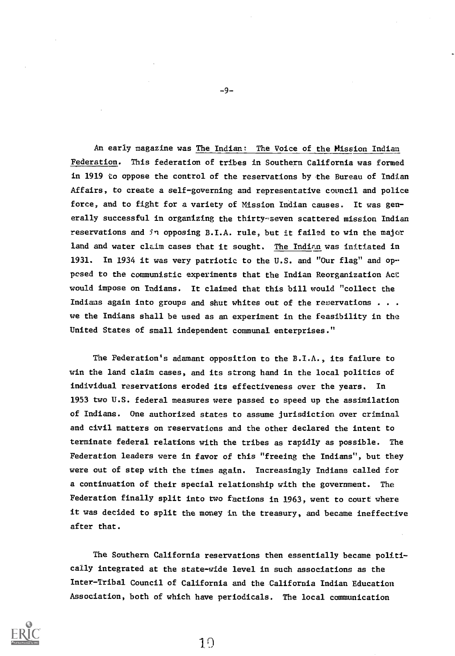An early magazine was The Indian; The Voice of the Mission Indian Federation. This federation of tribes in Southern California was formed in 1919 to oppose the control of the reservations by the Bureau of Indian Affairs, to create a self-governing and representative council and police force, and to fight for a variety of Mission Indian causes. It was generally successful in organizing the thirty-seven scattered mission Indian reservations and 5n opposing B.I.A. rule, but it failed to win the major land and water claim cases that it sought. The Indian was initiated in 1931. In 1934 it was very patriotic to the U.S. and "Our flag" and opposed to the communistic experiments that the Indian Reorganization Act would impose on Indians. It claimed that this bill would "collect the Indians again into groups and shut whites out of the reservations . . . we the Indians shall be used as an experiment in the feasibility in the United States of small independent communal enterprises."

The Federation's adamant opposition to the B.I.A., its failure to win the land claim cases, and its strong hand in the local politics of individual reservations eroded its effectiveness over the years. In 1953 two U.S. federal measures were passed to speed up the assimilation of Indians. One authorized states to assume jurisdiction over criminal and civil matters on reservations and the other declared the intent to terminate federal relations with the tribes as rapidly as possible. The Federation leaders were in favor of this "freeing the Indians", but they were out of step with the times again. Increasingly Indians called for a continuation of their special relationship with the government. The Federation finally split into two factions in 1963, went to court where it was decided to split the money in the treasury, and became ineffective after that.

The Southern California reservations then essentially became politically integrated at the state-wide level in such associations as the Inter-Tribal Council of California and the California Indian Education Association, both of which have periodicals. The local communication

10



 $-9-$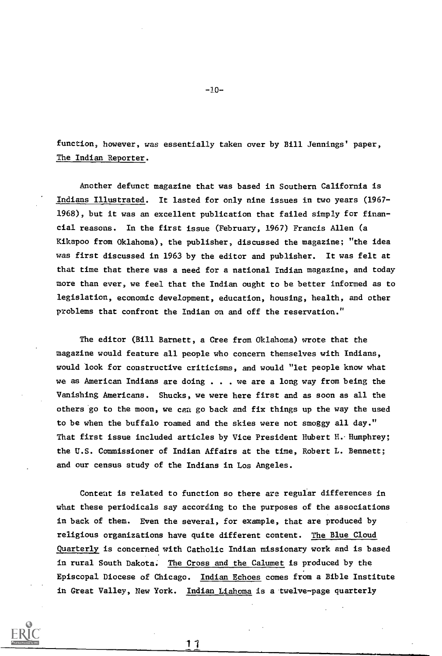function, however, was essentially taken over by Bill Jennings' paper, The Indian Reporter.

Another defunct magazine that was based in Southern California is Indians Illustrated. It lasted for only nine issues in two years (1967- 1968), but it was an excellent publication that failed simply for financial reasons. In the first issue (February, 1967) Francis Allen (a Kikapoo from Oklahoma), the publisher, discussed the magazine; "the idea was first discussed in 1963 by the editor and publisher. It was felt at that time that there was a need for a national Indian magazine, and today more than ever, we feel that the Indian ought to be better informed as to legislation, economic development, education, housing, health, and other problems that confront the Indian on and off the reservation."

The editor (Bill Barnett, a Cree from Oklahoma) wrote that the magazine would feature all people who concern themselves with Indians, would look for constructive criticisms, and would "let people know what we as American Indians are doing . . we are a long way from being the Vanishing Americans. Shucks, we were here first and as soon as all the others go to the moon, we can go back and fix things up the way the used to be when the buffalo roamed and the skies were not smoggy all day." That first issue included articles by Vice President Hubert H. Humphrey; the U.S. Commissioner of Indian Affairs at the time, Robert L. Bennett; and our census study of the Indians in Los Angeles.

Conteat is related to function so there are regular differences in what these periodicals say according to the purposes of the associations in back of them. Even the several, for example, that are produced by religious organizations have quite different content. The Blue Cloud Quarterly is concerned with Catholic Indian missionary work and is based in rural South Dakota; The Cross and the Calumet is produced by the Episcopal Diocese of Chicago. Indian Echoes comes from a Bible Institute in Great Valley, New York. Indian Liahoma is a twelve-page quarterly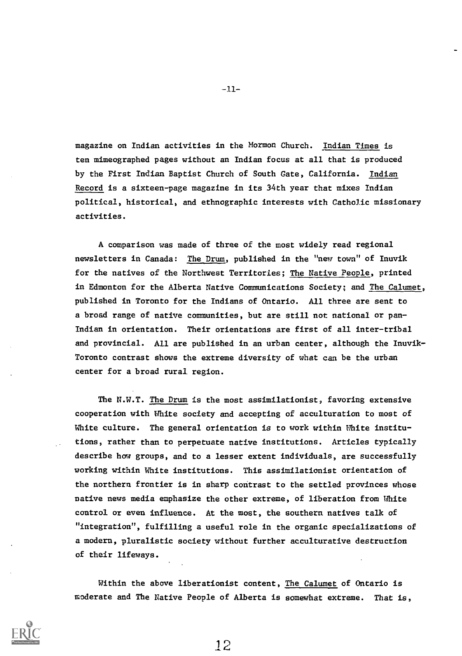magazine on Indian activities in the Mormon Church. Indian Times is ten mimeographed pages without an Indian focus at all that is produced by the First Indian Baptist Church of South Gate, California. Indian Record is a sixteen-page magazine in its 34th year that mixes Indian political, historical, and ethnographic interests with Catholic missionary activities.

A comparison was made of three of the most widely read regional newsletters in Canada: The Drum, published in the "new town" of Inuvik for the natives of the Northwest Territories; The Native People, printed in Edmonton for the Alberta Native Communications Society; and The Calumet, published in Toronto for the Indians of Ontario. All three are sent to a broad range of native communities, but are still not national or pan-Indian in orientation. Their orientations are first of all inter-tribal and provincial. All are published in an urban center, although the Inuvik-Toronto contrast shows the extreme diversity of what can be the urban center for a broad rural region.

The N.W.T. The Drum is the most assimilationist, favoring extensive cooperation with White society and accepting of acculturation to most of White culture. The general orientation is to work within White institutions, rather than to perpetuate native institutions. Articles typically describe how groups, and to a lesser extent individuals, are successfully working within White institutions. This assimilationist orientation of the northern frontier is in sharp contrast to the settled provinces whose native news media emphasize the other extreme, of liberation from White control or even influence. At the most, the southern natives talk of "integration", fulfilling a useful role in the organic specializations of a modern, pluralistic society without further acculturative destruction of their lifeways.

Within the above liberationist content, The Calumet of Ontario is moderate and The Native People of Alberta is somewhat extreme. That is,

 $-11-$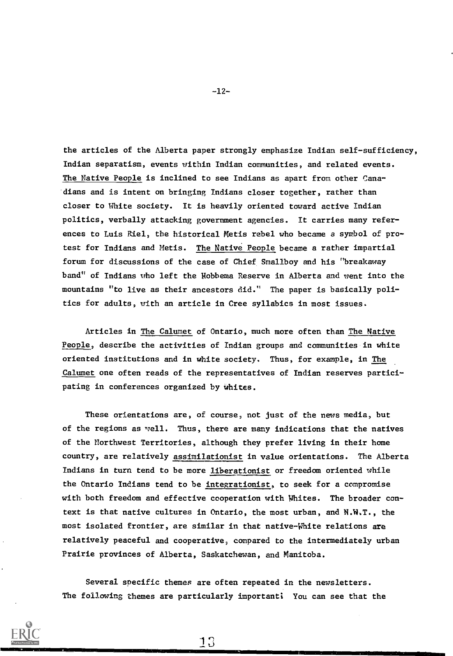the articles of the Alberta paper strongly emphasize Indian self-sufficiency, Indian separatism, events within Indian communities, and related events. The Native People is inclined to see Indians as apart from other Canadians and is intent on bringing Indians closer together, rather than closer to White society. It is heavily oriented toward active Indian politics, verbally attacking government agencies. It carries many references to Luis Riel, the historical Metis rebel who became a symbol of protest for Indians and Metis. The Native People became a rather impartial forum for discussions of the case of Chief Smallboy and his "breakaway band" of Indians who left the Hobbema Reserve in Alberta and went into the mountains "to live as their ancestors did." The paper is basically politics for adults, with an article in Cree syllabics in most issues.

Articles in The Calumet of Ontario, much more often than The Native People, describe the activities of Indian groups and communities in white oriented institutions and in white society. Thus, for example, in The Calumet one often reads of the representatives of Indian reserves participating in conferences organized by whites.

These orientations are, of course, not just of the news media, but of the regions as well. Thus, there are many indications that the natives of the Northwest Territories, although they prefer living in their home country, are relatively assimilationist in value orientations. The Alberta Indians in turn tend to be more liberationist or freedom oriented while the Ontario Indians tend to be integrationist, to seek for a compromise with both freedom and effective cooperation with Whites. The broader context is that native cultures in Ontario, the most urban, and N.W.T., the most isolated frontier, are similar in that native-White relations are relatively peaceful and cooperative, compared to the intermediately urban Prairie provinces of Alberta, Saskatchewan, and Manitoba.

Several specific themes are often repeated in the newsletters. The following themes are particularly important: You can see that the

-12-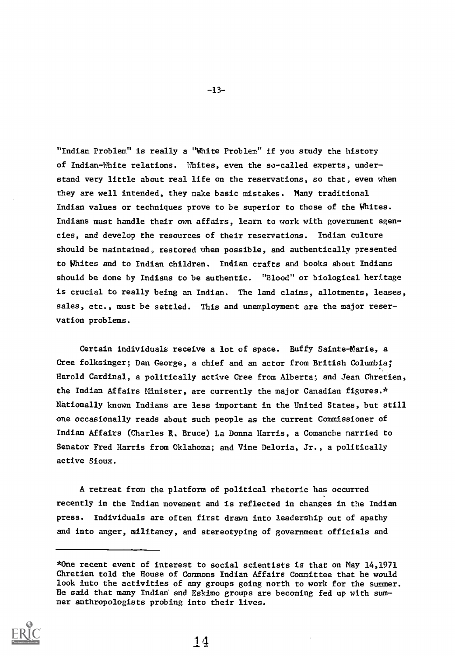"Indian Problem" is really a "White Problem" if you study the history of Indian-White relations. Whites, even the so-called experts, understand very little about real life on the reservations, so that, even when they are well intended, they make basic mistakes. Many traditional Indian values or techniques prove to be superior to those of the Whites. Indians must handle their awn affairs, learn to work with government agencies, and develop the resources of their reservations. Indian culture should be maintained, restored when possible, and authentically presented to Whites and to Indian children. Indian crafts and books about Indians should be done by Indians to be authentic. "Blood" or biological heritage is crucial to really being an Indian. The land claims, allotments, leases, sales, etc., must be settled. This and unemployment are the major reservation problems.

Certain individuals receive a lot of space. Buffy Sainte-Marie, a Cree foiksinger; Dan George, a chief and an actor from British Columbia; Harold Cardinal, a politically active Cree from Alberta; and Jean Chretien, the Indian Affairs Minister, are currently the major Canadian figures.\* Nationally known Indians are less important in the United States, but still one occasionally reads about such people as the current Commissioner of Indian Affairs (Charles R. Bruce) La Donna Harris, a Comanche married to Senator Fred Harris from Oklahoma; and Vine Deloria, Jr., a politically active Sioux.

A retreat from the platform of political rhetoric has occurred recently in the Indian movement and is reflected in changes in the Indian press. Individuals are often first drawn into leadership out of apathy and into anger, militancy, and stereotyping of government officials and

<sup>\*</sup>One recent event of interest to social scientists is that on May 14,1971 Chretien told the House of Commons Indian Affairs Committee that he would look into the activities of any groups going north to work for the summer. He said that many Indian' and Eskimo groups are becoming fed up with summer anthropologists probing into their lives.



 $-13-$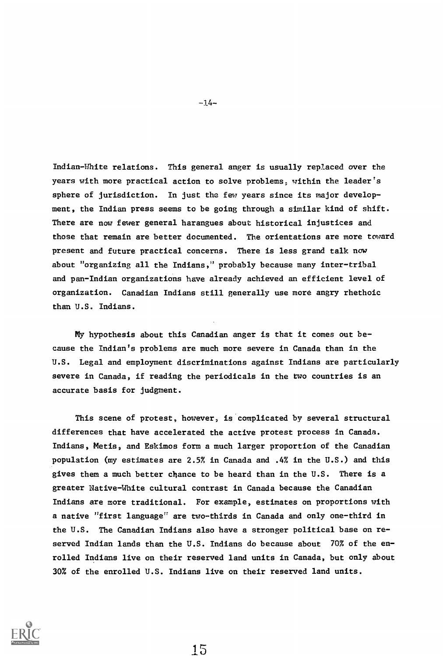Indian-White relations. This general anger is usually replaced over the years with more practical action to solve problems, within the leader's sphere of jurisdiction. In just the few years since its major development, the Indian press seems to be going through a similar kind of shift. There are now fewer general harangues about historical injustices and those that remain are better documented. The orientations are more toward present and future practical concerns. There is less grand talk now about "organizing all the Indians," probably because many inter-tribal and pan-Indian organizations have already achieved an efficient level of organization. Canadian Indians still generally use more angry rhethoic than U.S. Indians.

My hypothesis about this Canadian anger is that it comes out because the Indian's problems are much more severe in Canada than in the U.S. Legal and employment discriminations against Indians are particularly severe in Canada, if reading the periodicals in the two countries is an accurate basis for judgment.

This scene of protest, however, is complicated by several structural differences that have accelerated the active protest process in Canada. Indians, Metis, and Eskimos form a much larger proportion of the Canadian population (my estimates are 2.5% in Canada and .4% in the U.S.) and this gives them a much better chance to be heard than in the U.S. There is a greater Native-White cultural contrast in Canada because the Canadian Indians are more traditional. For example, estimates on proportions with a native "first language" are two-thirds in Canada and only one-third in the U.S. The Canadian Indians also have a stronger political base on reserved Indian lands than the U.S. Indians do because about 70% of the enrolled Indians live on their reserved land units in Canada, but only about 30% of the enrolled U.S. Indians live on their reserved land units.



-14-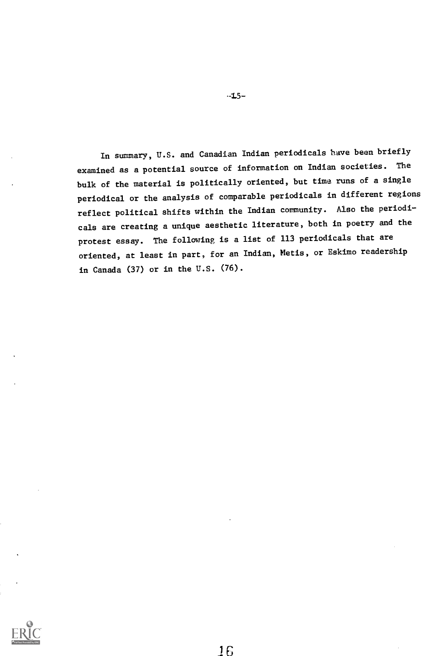In summary, U.S. and Canadian Indian periodicals have been briefly examined as a potential source of information on Indian societies. The bulk of the material is politically oriented, but time runs of a single periodical or the analysis of comparable periodicals in different regions reflect political shifts within the Indian community. Also the periodicals are creating a unique aesthetic literature, both in poetry and the protest essay. The following is a list of 113 periodicals that are oriented, at least in part, for an Indian, Metis, or Eskimo readership in Canada (37) or in the U.S. (76).



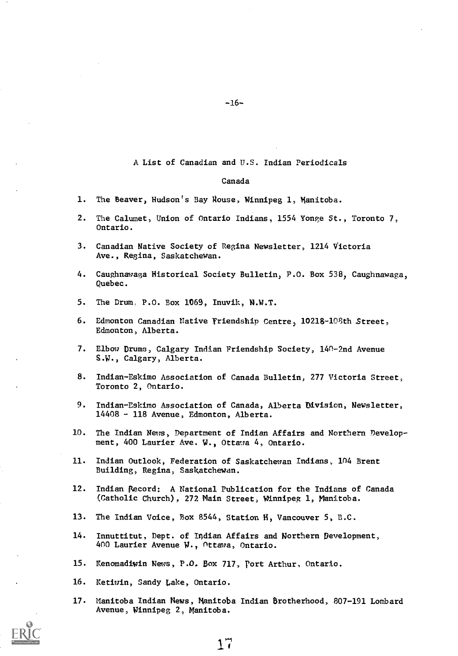## A List of Canadian and U.S. Indian Periodicals

#### Canada

- 1. The Beaver, Hudson's Bay House, Winnipeg 1, Manitoba.
- 2. The Calumet, Union of Ontario Indians, 1554 Yonge St., Toronto 7, Ontario.
- 3. Canadian Native Society of Regina Newsletter, 1214 Victoria Ave., Regina, Saskatchewan.
- 4. Caughnawaga Historical Society Bulletin, P.O. Box 538, Caughnawaga, Quebec.
- 5. The Drum. P.O. Box 1069, Inuvik, N.W.T.
- 6. Edmonton Canadian Native Friendship Centre, 10218-108th Street, Edmonton, Alberta.
- 7. Elbow Drums, Calgary Indian Friendship Society, 140-2nd Avenue S.W., Calgary, Alberta.
- 8. Indian-Eskimo Association of Canada Bulletin, 277 Victoria Street; Toronto 2, Ontario.
- 9. Indian-Eskimo Association of Canada, Alberta Division, Newsletter, 14408 - 118 Avenue, Edmonton, Alberta.
- 10. The Indian News, Department of Indian Affairs and Northern Development, 400 Laurier Ave. W., Ottawa 4, Ontario.
- 11. Indian Outlook, Federation of Saskatchewan Indians, 104 Brent Building, Regina, Saskatchewan.
- 12. Indian Record: A National Publication for the Indians of Canada (Catholic Church), 272 Main Street, Winnipeg 1, Manitoba.
- 13. The Indian Voice, Box 8544, Station H, Vancouver 5, B.C.
- 14. Innuttitut, Dept. of Indian Affairs and Northern Development, 400 Laurier Avenue W., ottawa, Ontario.
- 15. Kenomadiwin News, P.O. Box 717, Port Arthur, Ontario.
- 16. Ketiwin, Sandy Lake, Ontario.
- 17. Manitoba Indian News, Manitoba Indian Brotherhood, 807-191 Lombard Avenue, Winnipeg 2, Manitoba.

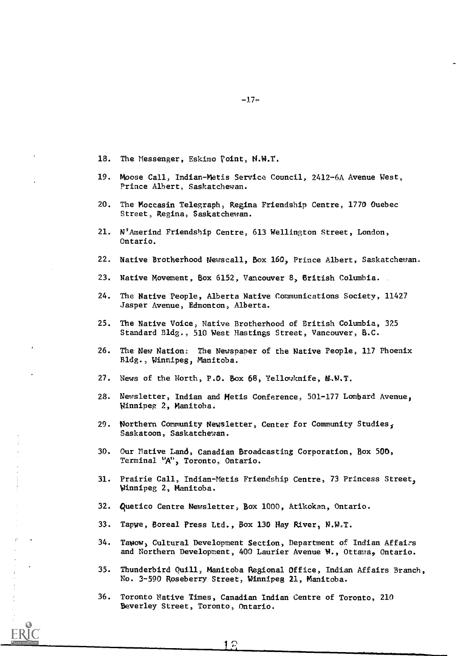- 18. The Messenger, Eskimo point, N.W.T.
- 19. Moose Call, Indian-Metis Service Council, 2412-6A Avenue West, Prince Albert, Saskatchewan.
- 20. The Moccasin Telegraph, Regina Friendship Centre, 1770 Quebec Street, Regina, Saskatchewan.
- 21. N'Amerind Friendship Centre, 613 Wellington Street, London, Ontario.
- 22. Native Brotherhood Newscall, Box 160, Prince Albert, Saskatchewan.
- 23. Native Movement, Box 6152, Vancouver 8, British Columbia.
- 24. The Native People, Alberta Native Communications Society, 11427 Jasper Avenue, Edmonton, Alberta.
- 25. The Native Voice, Native Brotherhood of British Columbia, 325 Standard Bldg., 510 West Hastings Street, Vancouver, B.C.
- 26. The New Nation: The Newspaper of the Native People, 117 Phoenix Bldg., Winnipeg; Manitoba.
- 27. News of the North, P.O. Box 68, Yellowknife, N.W.T.
- 28. Newsletter, Indian and Metis Conference, 501-177 Lombard Avenue, Winnipeg 2, Manitoba.
- 29. Northern Community Newsletter, Center for Community Studies, Saskatoon, Saskatchewan.
- 30. Our Native Land, Canadian Broadcasting Corporation, Box 500, Terminal "A", Toronto, Ontario.
- 31. Prairie Call, Indian-Metis Friendship Centre, 73 Princess Street, Winnipeg 2, Manitoba.
- 32. quetico Centre Newsletter, Box 1000, Atikokan, Ontario.
- 33. Tapwe, Boreal Press Ltd., Box 130 Hay River, N.W.T.
- 34. Tawow, Cultural Development Section, Department of Indian Affairs and Northern Development, 400 Laurier Avenue N., Ottawa, Ontario.
- 35. Thunderbird Quill, Manitoba Regional Office, Indian Affairs Branch, No. 3-590 Roseberry Street, Winnipeg 21, Manitoba.
- 36. Toronto Native Times, Canadian Indian Centre of Toronto, 210 Beverley Street, Toronto, Ontario.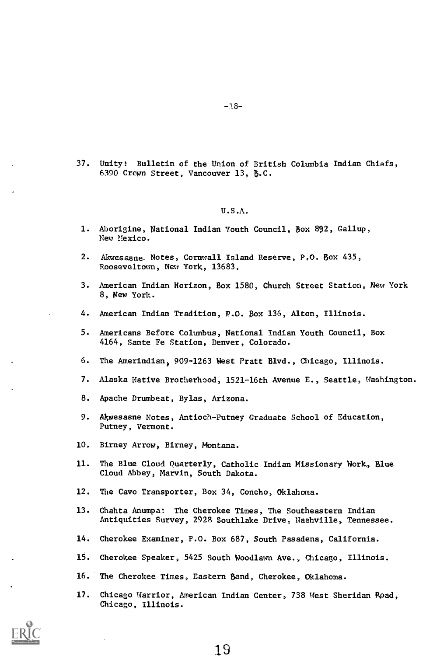37. Unity: Bulletin of the Union of British Columbia Indian Chiefs, 6390 Crown Street, Vancouver 13, B.C.

## U.S.A.

- 1. Aborigine, National Indian Youth Council, Box 892, Gallup, New Mexico.
- 2. Akwesasne. Notes, Cornwall Island Reserve, P.O. Box 435, Rooseveltown, New York, 13683.
- 3. American Indian Horizon, Box 1580, Church Street Station, New York 8, New York.
- 4. American Indian Tradition, P.O. Box 136, Alton, Illinois.
- 5. Americans Before Columbus, National Indian Youth Council, Box 4164, Sante Fe Station, Denver, Colorado.
- 6. The Amerindian, 909-1263 West Pratt Blvd., Chicago, Illinois.
- 7. Alaska Native Brotherhood, 1521-16th Avenue E., Seattle, Washington.
- 8. Apache Drumbeat, Bylas, Arizona.
- 9. Akwesasne Notes, Antioch-Putney Graduate School of Education, Putney, Vermont.
- 10. Birney Arrow, Birney, Montana.
- 11. The Blue Cloud Quarterly, Catholic Indian Missionary Work, Blue Cloud Abbey, Marvin, South Dakota.
- 12. The Cavo Transporter, Box 34, Concho, Oklahoma.
- 13. Chahta Anumpa: The Cherokee Times, The Southeastern Indian Antiquities Survey, 2928 Southlake Drive, Nashville, Tennessee.
- 14. Cherokee Examiner, P.O. Box 687, South Pasadena, California.
- 15. Cherokee Speaker, 5425 South Woodlawn Ave., Chicago, Illinois.
- 16. The Cherokee Times, Eastern Band, Cherokee, Oklahoma.
- 17. Chicago Warrior, American Indian Center, 738 West Sheridan Road, Chicago, Illinois.

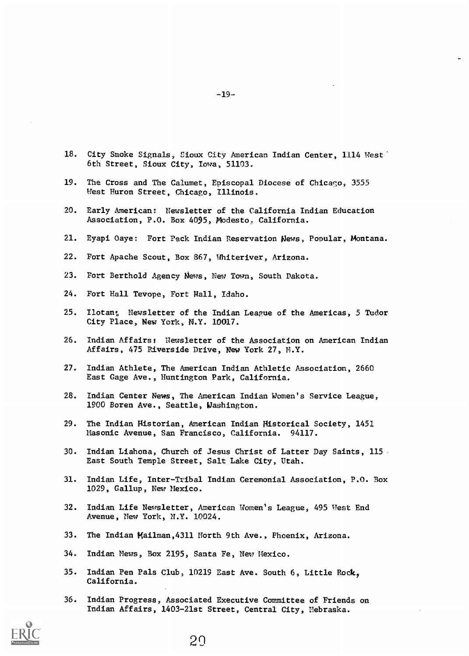- 18. City Smoke Signals, Sioux City American Indian Center, 1114 West. 6th Street, Sioux City, Iowa, 51103.
- 19. The Cross and The Calumet, Episcopal Diocese of Chicago, 3555 West Huron Street, Chicago, Illinois.
- 20. Early American: Newsletter of the California Indian Education Association, P.O. Box 4095, Modesto. California.
- 21. Eyapi Oaye: Fort Peck Indian Reservation News, Popular, Montana.
- 22. Fort Apache Scout, Box 867, Whiteriver, Arizona.
- 23. Fort Berthold Agency News, New Town, South Dakota.
- 24. Fort Hall Tevope, Fort Nall, Idaho.
- 25. Ilotan: Newsletter of the Indian League of the Americas, 5 Tudor City Place, New York, N.Y. 10017.
- 26. Indian Affairs: Newsletter of the Association on American Indian Affairs, 475 Riverside Drive, New York 27, M.Y.
- 27. Indian Athlete, The American Indian Athletic Association, 2660 East Gage Ave., Huntington Park, California.
- 28. Indian Center News, The American Indian Women's Service League, 1900 Boren Ave., Seattle, Washington.
- 29. The Indian Historian, American Indian Historical Society, 1451 Masonic Avenue, San Francisco, California. 94117.
- 30. Indian Liahona, Church of Jesus Christ of Latter Day Saints, 115 East South Temple Street, Salt Lake City, Utah.
- 31. Indian Life, Inter-Tribal Indian Ceremonial Association, P.O. Box 1029, Gallup, New Mexico.
- 32. Indian Life Newsletter, American Women's League, 495 West End Avenue, New York, N.Y. 10024.
- 33. The Indian Mailman,4311 North 9th Ave., Phoenix, Arizona.
- 34. Indian Mews, Box 2195, Santa Fe, New Hexico.
- 35. Indian Pen Pals Club, 10219 East Ave. South 6, Little Rock, California.
- 36. Indian Progress, Associated Executive Committee of Friends on Indian Affairs, 1403-21st Street, Central City, Nebraska.



 $-19-$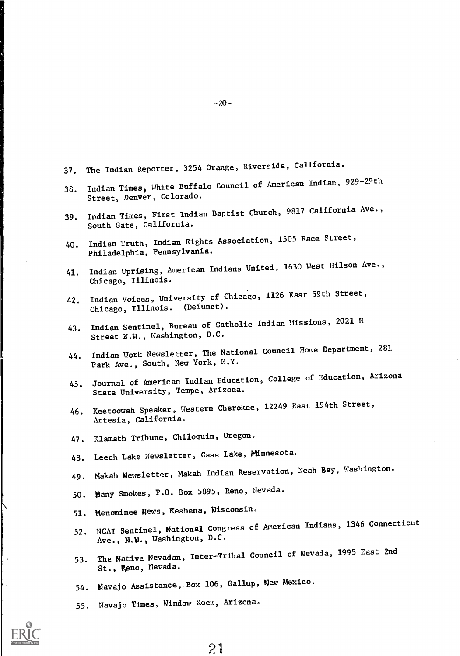- 37. The Indian Reporter, 3254 Orange, Riverside, California.
- 38. Indian Times, White Buffalo Council of American Indian, 929-29th Street, Denver, Colorado.
- 39. Indian Times, First Indian Baptist Church, 9817 California Ave., South Gate, California.
- 40. Indian Truth, Indian Rights Association, 1505 Race Street, Philadelphia, Pennsylvania.
- 41. Indian Uprising, American Indians United, 1630 West Wilson Ave., Chicago, Illinois.
- 42. Indian Voices, University of Chicago, 1126 East 59th Street, Chicago, Illinois. (Defunct).
- 43. Indian Sentinel, Bureau of Catholic Indian Missions, 2021 H Street N.W., Washington, D.C.
- 44. Indian Work Newsletter, The National Council Home Department, 281 Park Ave., South, New York, N.Y.
- 45. Journal of American Indian Education, College of Education, Arizona State University, Tempe, Arizona.
- 46. Keetoowah Speaker, Western Cherokee, 12249 East 194th Street, Artesia, California.
- 47. Klamath Tribune, Chiloquin, Oregon.
- 48. Leech Lake Newsletter, Cass Lake, Minnesota.
- 49. Makah Newsletter, Makah Indian Reservation, Neah Bay, Washington.
- 50. Many Smokes, P.O. Box 5895, Reno, Nevada.
- 51. Menominee News, Keshena, Nisconsin.
- 52. NCAI Sentinel, National Congress of American Indians, 1346 Connecticut Ave., N.V., Washington, D.C.
- 53. The Native Nevadan, Inter-Tribal Council of Nevada, 1995 East 2nd St., Reno, Nevada.
- 54. Navajo Assistance,.Box 106, Gallup, New Mexico.
- 55. Navajo Times, Window Rock, Arizona.